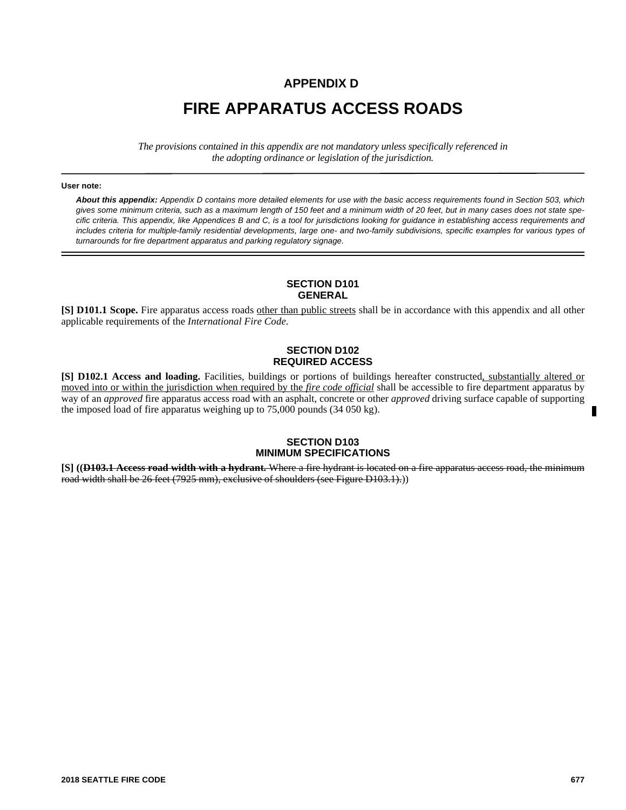## **APPENDIX D**

# **FIRE APPARATUS ACCESS ROADS**

*The provisions contained in this appendix are not mandatory unless specifically referenced in the adopting ordinance or legislation of the jurisdiction.*

#### **User note:**

*About this appendix: Appendix D contains more detailed elements for use with the basic access requirements found in Section 503, which gives some minimum criteria, such as a maximum length of 150 feet and a minimum width of 20 feet, but in many cases does not state specific criteria. This appendix, like Appendices B and C, is a tool for jurisdictions looking for guidance in establishing access requirements and includes criteria for multiple-family residential developments, large one- and two-family subdivisions, specific examples for various types of turnarounds for fire department apparatus and parking regulatory signage.*

## **SECTION D101 GENERAL**

**[S] D101.1 Scope.** Fire apparatus access roads other than public streets shall be in accordance with this appendix and all other applicable requirements of the *International Fire Code*.

#### **SECTION D102 REQUIRED ACCESS**

**[S] D102.1 Access and loading.** Facilities, buildings or portions of buildings hereafter constructed, substantially altered or moved into or within the jurisdiction when required by the *fire code official* shall be accessible to fire department apparatus by way of an *approved* fire apparatus access road with an asphalt, concrete or other *approved* driving surface capable of supporting the imposed load of fire apparatus weighing up to 75,000 pounds (34 050 kg).

## **SECTION D103 MINIMUM SPECIFICATIONS**

**[S] ((D103.1 Access road width with a hydrant.** Where a fire hydrant is located on a fire apparatus access road, the minimum road width shall be 26 feet (7925 mm), exclusive of shoulders (see Figure D103.1).))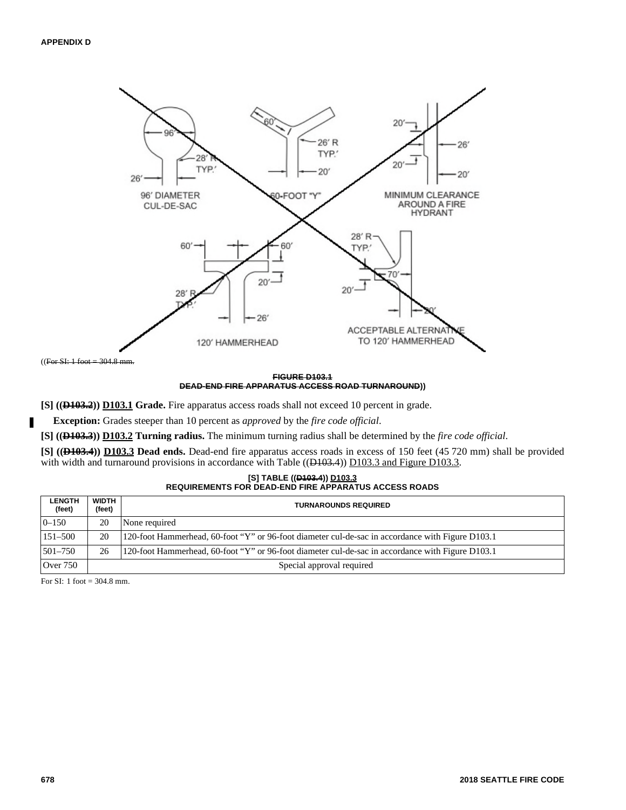

#### **FIGURE D103.1 DEAD-END FIRE APPARATUS ACCESS ROAD TURNAROUND))**

**[S] ((D103.2)) D103.1 Grade.** Fire apparatus access roads shall not exceed 10 percent in grade.

**Exception:** Grades steeper than 10 percent as *approved* by the *fire code official*.

**[S] ((D103.3)) D103.2 Turning radius.** The minimum turning radius shall be determined by the *fire code official*.

**[S] ((D103.4)) D103.3 Dead ends.** Dead-end fire apparatus access roads in excess of 150 feet (45 720 mm) shall be provided with width and turnaround provisions in accordance with Table ( $(H103.4)$ ) D103.3 and Figure D103.3.

| [S] TABLE (( <del>D103.4</del> )) D103.3                     |
|--------------------------------------------------------------|
| <b>REQUIREMENTS FOR DEAD-END FIRE APPARATUS ACCESS ROADS</b> |

| <b>LENGTH</b><br>(feet) | WIDTH<br>(feet) | <b>TURNAROUNDS REQUIRED</b>                                                                       |
|-------------------------|-----------------|---------------------------------------------------------------------------------------------------|
| $0 - 150$               | 20              | None required                                                                                     |
| $151 - 500$             | 20              | 120-foot Hammerhead, 60-foot "Y" or 96-foot diameter cul-de-sac in accordance with Figure D103.1  |
| 501-750                 | 26              | 1.20-foot Hammerhead, 60-foot "Y" or 96-foot diameter cul-de-sac in accordance with Figure D103.1 |
| <b>Over 750</b>         |                 | Special approval required                                                                         |

For SI: 1 foot = 304.8 mm.

Ш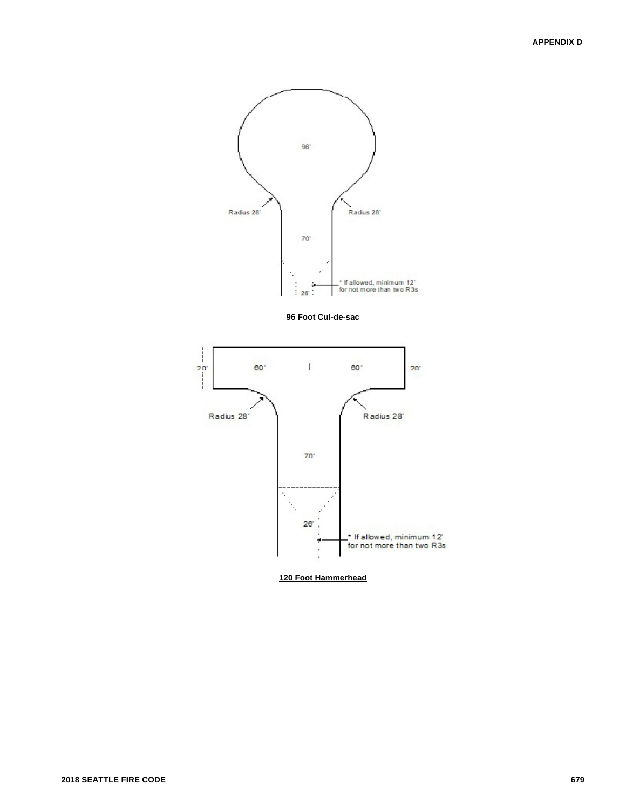

**120 Foot Hammerhead**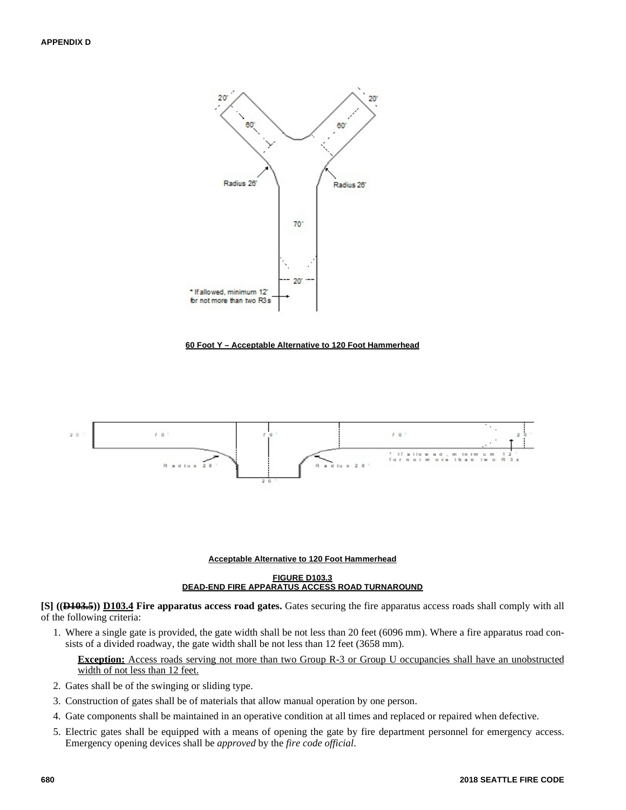

#### **60 Foot Y – Acceptable Alternative to 120 Foot Hammerhead**



#### **Acceptable Alternative to 120 Foot Hammerhead**

#### **FIGURE D103.3 DEAD-END FIRE APPARATUS ACCESS ROAD TURNAROUND**

**[S] ((D103.5)) D103.4 Fire apparatus access road gates.** Gates securing the fire apparatus access roads shall comply with all of the following criteria:

1. Where a single gate is provided, the gate width shall be not less than 20 feet (6096 mm). Where a fire apparatus road consists of a divided roadway, the gate width shall be not less than 12 feet (3658 mm).

## **Exception:** Access roads serving not more than two Group R-3 or Group U occupancies shall have an unobstructed width of not less than 12 feet.

- 2. Gates shall be of the swinging or sliding type.
- 3. Construction of gates shall be of materials that allow manual operation by one person.
- 4. Gate components shall be maintained in an operative condition at all times and replaced or repaired when defective.
- 5. Electric gates shall be equipped with a means of opening the gate by fire department personnel for emergency access. Emergency opening devices shall be *approved* by the *fire code official*.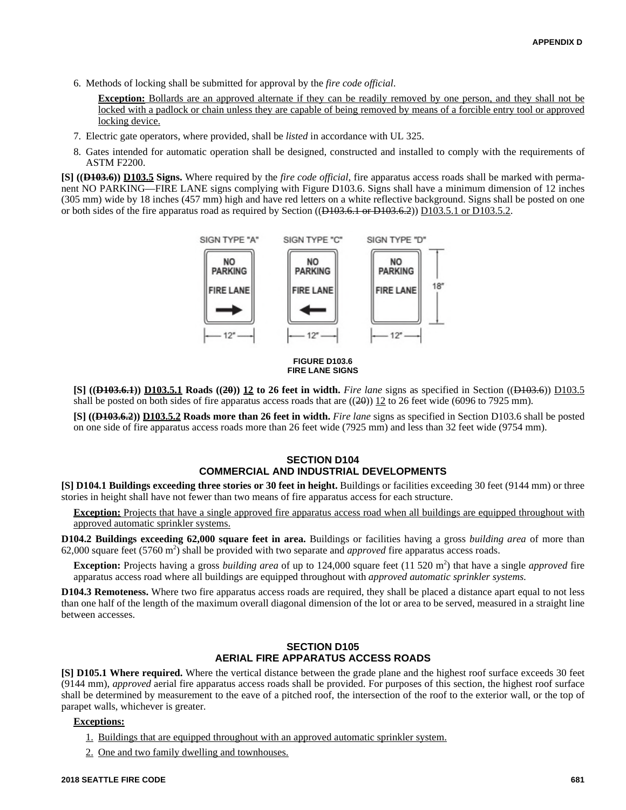6. Methods of locking shall be submitted for approval by the *fire code official*.

**Exception:** Bollards are an approved alternate if they can be readily removed by one person, and they shall not be locked with a padlock or chain unless they are capable of being removed by means of a forcible entry tool or approved locking device.

- 7. Electric gate operators, where provided, shall be *listed* in accordance with UL 325.
- 8. Gates intended for automatic operation shall be designed, constructed and installed to comply with the requirements of ASTM F2200.

**[S] ((D103.6)) D103.5 Signs.** Where required by the *fire code official*, fire apparatus access roads shall be marked with permanent NO PARKING—FIRE LANE signs complying with Figure D103.6. Signs shall have a minimum dimension of 12 inches (305 mm) wide by 18 inches (457 mm) high and have red letters on a white reflective background. Signs shall be posted on one or both sides of the fire apparatus road as required by Section (( $\overline{D103.6.1}$  or  $\overline{D103.6.2}$ )) D103.5.1 or D103.5.2.





**[S] ((D103.6.1)) D103.5.1 Roads ((20)) 12 to 26 feet in width.** *Fire lane* signs as specified in Section ((D103.6)) D103.5 shall be posted on both sides of fire apparatus access roads that are  $((20)$ ) 12 to 26 feet wide (6096 to 7925 mm).

**[S] ((D103.6.2)) D103.5.2 Roads more than 26 feet in width.** *Fire lane* signs as specified in Section D103.6 shall be posted on one side of fire apparatus access roads more than 26 feet wide (7925 mm) and less than 32 feet wide (9754 mm).

## **SECTION D104 COMMERCIAL AND INDUSTRIAL DEVELOPMENTS**

**[S] D104.1 Buildings exceeding three stories or 30 feet in height.** Buildings or facilities exceeding 30 feet (9144 mm) or three stories in height shall have not fewer than two means of fire apparatus access for each structure.

**Exception:** Projects that have a single approved fire apparatus access road when all buildings are equipped throughout with approved automatic sprinkler systems.

**D104.2 Buildings exceeding 62,000 square feet in area.** Buildings or facilities having a gross *building area* of more than 62,000 square feet (5760 m<sup>2</sup>) shall be provided with two separate and *approved* fire apparatus access roads.

**Exception:** Projects having a gross *building area* of up to 124,000 square feet (11 520 m<sup>2</sup>) that have a single *approved* fire apparatus access road where all buildings are equipped throughout with *approved automatic sprinkler systems.*

**D104.3 Remoteness.** Where two fire apparatus access roads are required, they shall be placed a distance apart equal to not less than one half of the length of the maximum overall diagonal dimension of the lot or area to be served, measured in a straight line between accesses.

## **SECTION D105 AERIAL FIRE APPARATUS ACCESS ROADS**

**[S] D105.1 Where required.** Where the vertical distance between the grade plane and the highest roof surface exceeds 30 feet (9144 mm), *approved* aerial fire apparatus access roads shall be provided. For purposes of this section, the highest roof surface shall be determined by measurement to the eave of a pitched roof, the intersection of the roof to the exterior wall, or the top of parapet walls, whichever is greater.

## **Exceptions:**

- 1. Buildings that are equipped throughout with an approved automatic sprinkler system.
- 2. One and two family dwelling and townhouses.